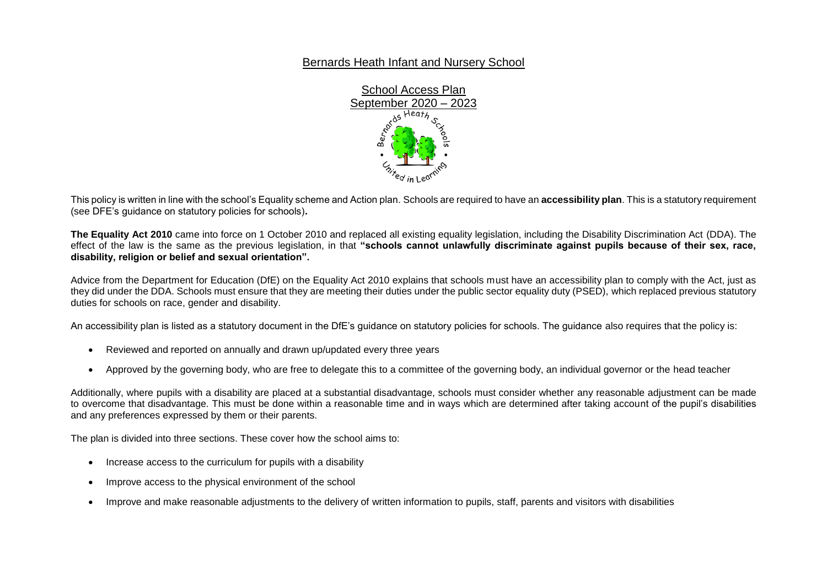## Bernards Heath Infant and Nursery School



This policy is written in line with the school's Equality scheme and Action plan. Schools are required to have an **accessibility plan**. This is a statutory requirement (see DFE's guidance on statutory policies for schools)**.**

**The Equality Act 2010** came into force on 1 October 2010 and replaced all existing equality legislation, including the Disability Discrimination Act (DDA). The effect of the law is the same as the previous legislation, in that **"schools cannot unlawfully discriminate against pupils because of their sex, race, disability, religion or belief and sexual orientation".**

Advice from the Department for Education (DfE) on the Equality Act 2010 explains that schools must have an accessibility plan to comply with the Act, just as they did under the DDA. Schools must ensure that they are meeting their duties under the public sector equality duty (PSED), which replaced previous statutory duties for schools on race, gender and disability.

An accessibility plan is listed as a statutory document in the DfE's guidance on statutory policies for schools. The guidance also requires that the policy is:

- Reviewed and reported on annually and drawn up/updated every three years
- Approved by the governing body, who are free to delegate this to a committee of the governing body, an individual governor or the head teacher

Additionally, where pupils with a disability are placed at a substantial disadvantage, schools must consider whether any reasonable adjustment can be made to overcome that disadvantage. This must be done within a reasonable time and in ways which are determined after taking account of the pupil's disabilities and any preferences expressed by them or their parents.

The plan is divided into three sections. These cover how the school aims to:

- Increase access to the curriculum for pupils with a disability
- Improve access to the physical environment of the school
- Improve and make reasonable adjustments to the delivery of written information to pupils, staff, parents and visitors with disabilities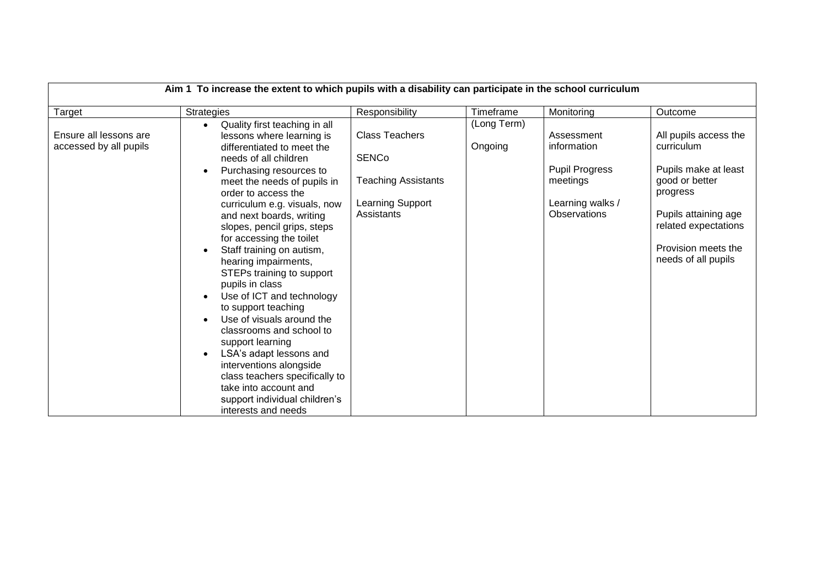| Aim 1 To increase the extent to which pupils with a disability can participate in the school curriculum |                                                                                                                                                                                                                                                                                                                                                                                                                                                                                                                                                                                                                                                                                                                                                       |                                                                                                       |                        |                                                                                                           |                                                                                                                                                                                         |  |
|---------------------------------------------------------------------------------------------------------|-------------------------------------------------------------------------------------------------------------------------------------------------------------------------------------------------------------------------------------------------------------------------------------------------------------------------------------------------------------------------------------------------------------------------------------------------------------------------------------------------------------------------------------------------------------------------------------------------------------------------------------------------------------------------------------------------------------------------------------------------------|-------------------------------------------------------------------------------------------------------|------------------------|-----------------------------------------------------------------------------------------------------------|-----------------------------------------------------------------------------------------------------------------------------------------------------------------------------------------|--|
| Target                                                                                                  | <b>Strategies</b>                                                                                                                                                                                                                                                                                                                                                                                                                                                                                                                                                                                                                                                                                                                                     | Responsibility                                                                                        | Timeframe              | Monitoring                                                                                                | Outcome                                                                                                                                                                                 |  |
| Ensure all lessons are<br>accessed by all pupils                                                        | Quality first teaching in all<br>$\bullet$<br>lessons where learning is<br>differentiated to meet the<br>needs of all children<br>Purchasing resources to<br>meet the needs of pupils in<br>order to access the<br>curriculum e.g. visuals, now<br>and next boards, writing<br>slopes, pencil grips, steps<br>for accessing the toilet<br>Staff training on autism,<br>hearing impairments,<br>STEPs training to support<br>pupils in class<br>Use of ICT and technology<br>to support teaching<br>Use of visuals around the<br>classrooms and school to<br>support learning<br>LSA's adapt lessons and<br>interventions alongside<br>class teachers specifically to<br>take into account and<br>support individual children's<br>interests and needs | <b>Class Teachers</b><br><b>SENCo</b><br><b>Teaching Assistants</b><br>Learning Support<br>Assistants | (Long Term)<br>Ongoing | Assessment<br>information<br><b>Pupil Progress</b><br>meetings<br>Learning walks /<br><b>Observations</b> | All pupils access the<br>curriculum<br>Pupils make at least<br>good or better<br>progress<br>Pupils attaining age<br>related expectations<br>Provision meets the<br>needs of all pupils |  |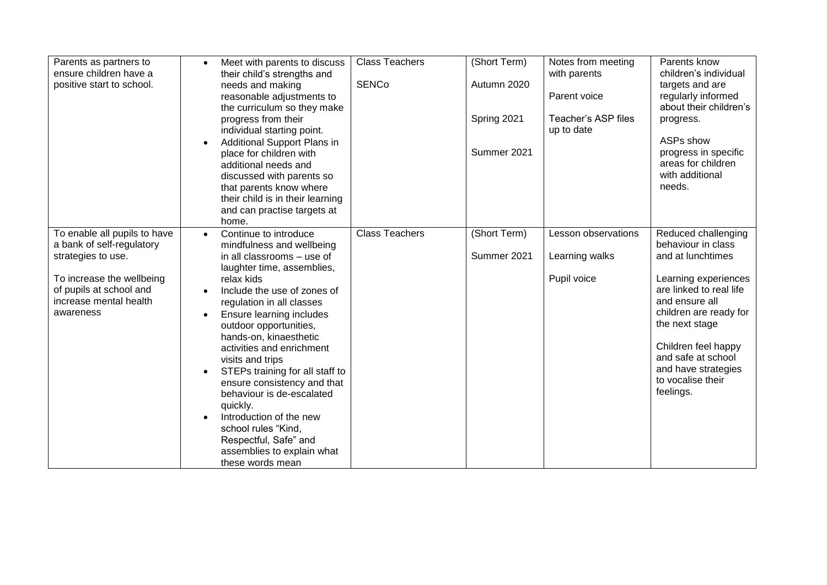| Parents as partners to       | Meet with parents to discuss                        | <b>Class Teachers</b> | (Short Term) | Notes from meeting  | Parents know                              |
|------------------------------|-----------------------------------------------------|-----------------------|--------------|---------------------|-------------------------------------------|
| ensure children have a       | their child's strengths and                         |                       |              | with parents        | children's individual                     |
| positive start to school.    | needs and making                                    | <b>SENCo</b>          | Autumn 2020  |                     | targets and are                           |
|                              | reasonable adjustments to                           |                       |              | Parent voice        | regularly informed                        |
|                              | the curriculum so they make                         |                       |              |                     | about their children's                    |
|                              | progress from their                                 |                       | Spring 2021  | Teacher's ASP files | progress.                                 |
|                              | individual starting point.                          |                       |              | up to date          |                                           |
|                              | Additional Support Plans in                         |                       |              |                     | ASPs show                                 |
|                              | place for children with                             |                       | Summer 2021  |                     | progress in specific                      |
|                              | additional needs and                                |                       |              |                     | areas for children                        |
|                              | discussed with parents so                           |                       |              |                     | with additional                           |
|                              | that parents know where                             |                       |              |                     | needs.                                    |
|                              | their child is in their learning                    |                       |              |                     |                                           |
|                              | and can practise targets at                         |                       |              |                     |                                           |
|                              | home.                                               |                       |              |                     |                                           |
| To enable all pupils to have | Continue to introduce<br>$\bullet$                  | <b>Class Teachers</b> | (Short Term) | Lesson observations | Reduced challenging                       |
| a bank of self-regulatory    | mindfulness and wellbeing                           |                       |              |                     | behaviour in class                        |
| strategies to use.           | in all classrooms - use of                          |                       | Summer 2021  | Learning walks      | and at lunchtimes                         |
|                              | laughter time, assemblies,                          |                       |              |                     |                                           |
| To increase the wellbeing    | relax kids                                          |                       |              | Pupil voice         | Learning experiences                      |
| of pupils at school and      | Include the use of zones of                         |                       |              |                     | are linked to real life                   |
| increase mental health       | regulation in all classes                           |                       |              |                     | and ensure all                            |
| awareness                    | Ensure learning includes<br>$\bullet$               |                       |              |                     | children are ready for                    |
|                              | outdoor opportunities,                              |                       |              |                     | the next stage                            |
|                              | hands-on, kinaesthetic                              |                       |              |                     |                                           |
|                              | activities and enrichment                           |                       |              |                     | Children feel happy<br>and safe at school |
|                              | visits and trips                                    |                       |              |                     | and have strategies                       |
|                              | STEPs training for all staff to                     |                       |              |                     | to vocalise their                         |
|                              | ensure consistency and that                         |                       |              |                     | feelings.                                 |
|                              | behaviour is de-escalated                           |                       |              |                     |                                           |
|                              | quickly.                                            |                       |              |                     |                                           |
|                              | Introduction of the new                             |                       |              |                     |                                           |
|                              | school rules "Kind,                                 |                       |              |                     |                                           |
|                              | Respectful, Safe" and<br>assemblies to explain what |                       |              |                     |                                           |
|                              |                                                     |                       |              |                     |                                           |
|                              | these words mean                                    |                       |              |                     |                                           |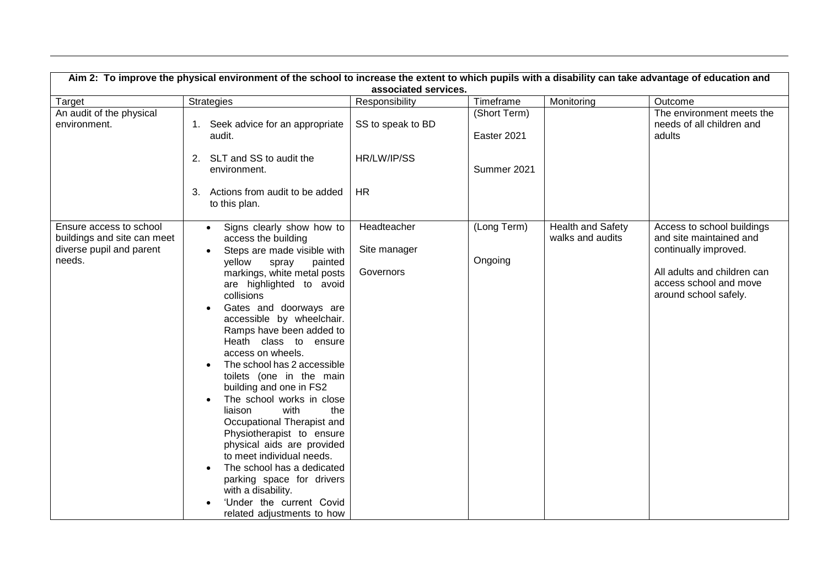| Aim 2: To improve the physical environment of the school to increase the extent to which pupils with a disability can take advantage of education and<br>associated services. |                                                                                                                                                                                                                                                                                                                                                                                                                                                                                                                                                                                                                                                                                                                                       |                                          |                             |                                              |                                                                                                                                                                  |  |  |
|-------------------------------------------------------------------------------------------------------------------------------------------------------------------------------|---------------------------------------------------------------------------------------------------------------------------------------------------------------------------------------------------------------------------------------------------------------------------------------------------------------------------------------------------------------------------------------------------------------------------------------------------------------------------------------------------------------------------------------------------------------------------------------------------------------------------------------------------------------------------------------------------------------------------------------|------------------------------------------|-----------------------------|----------------------------------------------|------------------------------------------------------------------------------------------------------------------------------------------------------------------|--|--|
| Target                                                                                                                                                                        | <b>Strategies</b>                                                                                                                                                                                                                                                                                                                                                                                                                                                                                                                                                                                                                                                                                                                     | Responsibility                           | Timeframe                   | Monitoring                                   | Outcome                                                                                                                                                          |  |  |
| An audit of the physical<br>environment.                                                                                                                                      | 1. Seek advice for an appropriate<br>audit.                                                                                                                                                                                                                                                                                                                                                                                                                                                                                                                                                                                                                                                                                           | SS to speak to BD                        | (Short Term)<br>Easter 2021 |                                              | The environment meets the<br>needs of all children and<br>adults                                                                                                 |  |  |
|                                                                                                                                                                               | 2. SLT and SS to audit the<br>environment.                                                                                                                                                                                                                                                                                                                                                                                                                                                                                                                                                                                                                                                                                            | HR/LW/IP/SS                              | Summer 2021                 |                                              |                                                                                                                                                                  |  |  |
|                                                                                                                                                                               | Actions from audit to be added<br>3.<br>to this plan.                                                                                                                                                                                                                                                                                                                                                                                                                                                                                                                                                                                                                                                                                 | <b>HR</b>                                |                             |                                              |                                                                                                                                                                  |  |  |
| Ensure access to school<br>buildings and site can meet<br>diverse pupil and parent<br>needs.                                                                                  | Signs clearly show how to<br>access the building<br>Steps are made visible with<br>yellow<br>painted<br>spray<br>markings, white metal posts<br>are highlighted to avoid<br>collisions<br>Gates and doorways are<br>accessible by wheelchair.<br>Ramps have been added to<br>Heath class to ensure<br>access on wheels.<br>The school has 2 accessible<br>toilets (one in the main<br>building and one in FS2<br>The school works in close<br>the<br>liaison<br>with<br>Occupational Therapist and<br>Physiotherapist to ensure<br>physical aids are provided<br>to meet individual needs.<br>The school has a dedicated<br>parking space for drivers<br>with a disability.<br>'Under the current Covid<br>related adjustments to how | Headteacher<br>Site manager<br>Governors | (Long Term)<br>Ongoing      | <b>Health and Safety</b><br>walks and audits | Access to school buildings<br>and site maintained and<br>continually improved.<br>All adults and children can<br>access school and move<br>around school safely. |  |  |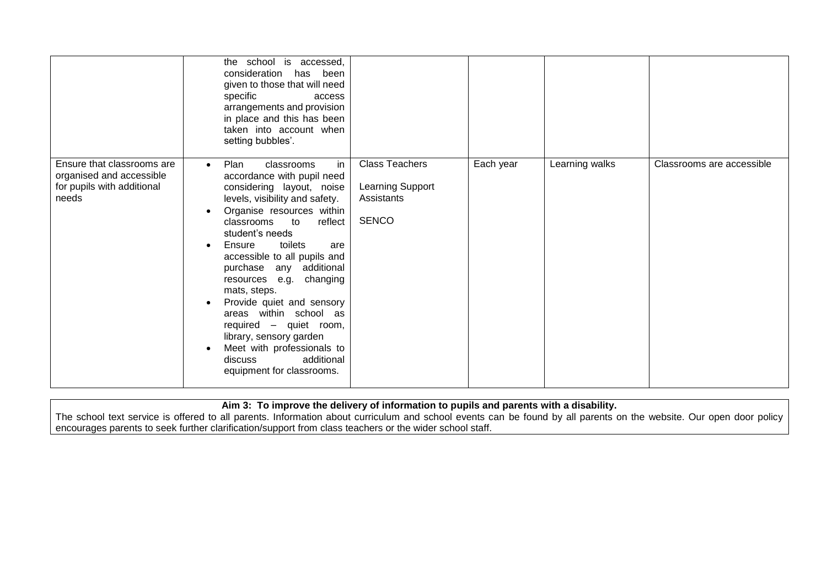|                                                                                               | the school is accessed,<br>consideration has been<br>given to those that will need<br>specific<br>access<br>arrangements and provision<br>in place and this has been<br>taken into account when<br>setting bubbles'.                                                                                                                                                                                                                                                                                                                                           |                                                                         |           |                |                           |
|-----------------------------------------------------------------------------------------------|----------------------------------------------------------------------------------------------------------------------------------------------------------------------------------------------------------------------------------------------------------------------------------------------------------------------------------------------------------------------------------------------------------------------------------------------------------------------------------------------------------------------------------------------------------------|-------------------------------------------------------------------------|-----------|----------------|---------------------------|
| Ensure that classrooms are<br>organised and accessible<br>for pupils with additional<br>needs | in<br>Plan<br>classrooms<br>$\bullet$<br>accordance with pupil need<br>considering layout, noise<br>levels, visibility and safety.<br>Organise resources within<br>classrooms<br>$\mathsf{to}$<br>reflect<br>student's needs<br>toilets<br>Ensure<br>are<br>accessible to all pupils and<br>purchase any additional<br>resources e.g. changing<br>mats, steps.<br>Provide quiet and sensory<br>areas within school as<br>required - quiet room,<br>library, sensory garden<br>Meet with professionals to<br>additional<br>discuss<br>equipment for classrooms. | <b>Class Teachers</b><br>Learning Support<br>Assistants<br><b>SENCO</b> | Each year | Learning walks | Classrooms are accessible |

**Aim 3: To improve the delivery of information to pupils and parents with a disability.**

The school text service is offered to all parents. Information about curriculum and school events can be found by all parents on the website. Our open door policy encourages parents to seek further clarification/support from class teachers or the wider school staff.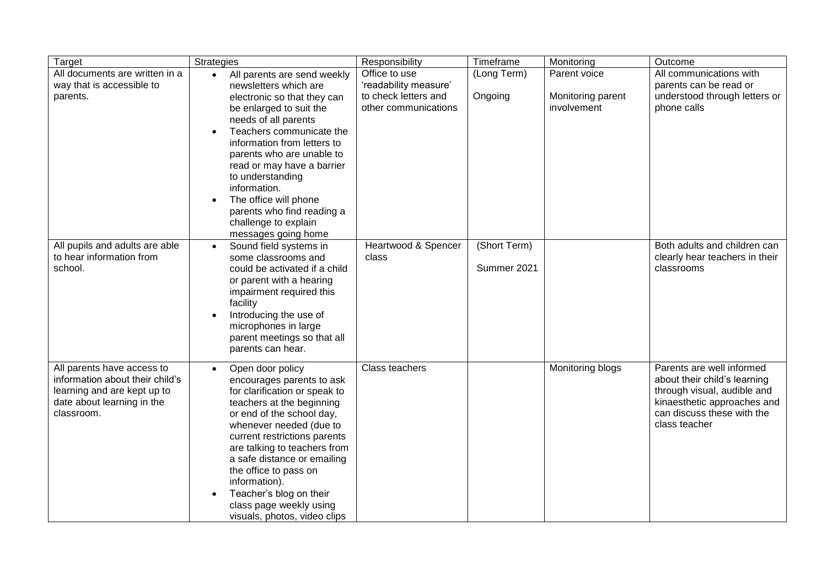| Target                                                                                                                                   | Strategies                                                                                                                                                                                                                                                                                                                                                                                                          | Responsibility                                                                         | Timeframe                   | Monitoring                                       | Outcome                                                                                                                                                                |
|------------------------------------------------------------------------------------------------------------------------------------------|---------------------------------------------------------------------------------------------------------------------------------------------------------------------------------------------------------------------------------------------------------------------------------------------------------------------------------------------------------------------------------------------------------------------|----------------------------------------------------------------------------------------|-----------------------------|--------------------------------------------------|------------------------------------------------------------------------------------------------------------------------------------------------------------------------|
| All documents are written in a<br>way that is accessible to<br>parents.                                                                  | All parents are send weekly<br>$\bullet$<br>newsletters which are<br>electronic so that they can<br>be enlarged to suit the<br>needs of all parents<br>Teachers communicate the<br>information from letters to<br>parents who are unable to<br>read or may have a barrier<br>to understanding<br>information.<br>The office will phone<br>parents who find reading a<br>challenge to explain<br>messages going home | Office to use<br>'readability measure'<br>to check letters and<br>other communications | (Long Term)<br>Ongoing      | Parent voice<br>Monitoring parent<br>involvement | All communications with<br>parents can be read or<br>understood through letters or<br>phone calls                                                                      |
| All pupils and adults are able<br>to hear information from<br>school.                                                                    | Sound field systems in<br>$\bullet$<br>some classrooms and<br>could be activated if a child<br>or parent with a hearing<br>impairment required this<br>facility<br>Introducing the use of<br>microphones in large<br>parent meetings so that all<br>parents can hear.                                                                                                                                               | Heartwood & Spencer<br>class                                                           | (Short Term)<br>Summer 2021 |                                                  | Both adults and children can<br>clearly hear teachers in their<br>classrooms                                                                                           |
| All parents have access to<br>information about their child's<br>learning and are kept up to<br>date about learning in the<br>classroom. | Open door policy<br>$\bullet$<br>encourages parents to ask<br>for clarification or speak to<br>teachers at the beginning<br>or end of the school day,<br>whenever needed (due to<br>current restrictions parents<br>are talking to teachers from<br>a safe distance or emailing<br>the office to pass on<br>information).<br>Teacher's blog on their<br>class page weekly using<br>visuals, photos, video clips     | Class teachers                                                                         |                             | Monitoring blogs                                 | Parents are well informed<br>about their child's learning<br>through visual, audible and<br>kinaesthetic approaches and<br>can discuss these with the<br>class teacher |